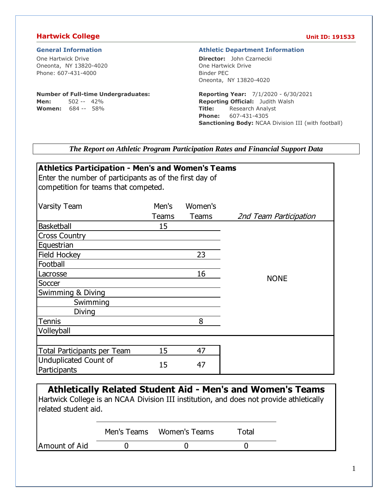### **Hartwick College Unit ID: 191533**

One Hartwick Drive Oneonta, NY 13820-4020 Phone: 607-431-4000

### **Number of Full-time Undergraduates:**

**Men:** 502 -- 42% **Women:** 684 -- 58%

#### **General Information Athletic Department Information**

**Director:** John Czarnecki One Hartwick Drive Binder PEC Oneonta, NY 13820-4020

**Reporting Year:** 7/1/2020 - 6/30/2021 **Reporting Official:** Judith Walsh **Title:** Research Analyst **Phone:** 607-431-4305 **Sanctioning Body:** NCAA Division III (with football)

*The Report on Athletic Program Participation Rates and Financial Support Data*

| <b>Athletics Participation - Men's and Women's Teams</b> |       |         |                        |  |  |  |  |  |
|----------------------------------------------------------|-------|---------|------------------------|--|--|--|--|--|
| Enter the number of participants as of the first day of  |       |         |                        |  |  |  |  |  |
| competition for teams that competed.                     |       |         |                        |  |  |  |  |  |
|                                                          |       |         |                        |  |  |  |  |  |
| <b>Varsity Team</b>                                      | Men's | Women's |                        |  |  |  |  |  |
|                                                          | Teams | Teams   | 2nd Team Participation |  |  |  |  |  |
| <b>Basketball</b>                                        | 15    |         |                        |  |  |  |  |  |
| <b>Cross Country</b>                                     |       |         |                        |  |  |  |  |  |
| Equestrian                                               |       |         |                        |  |  |  |  |  |
| Field Hockey                                             |       | 23      |                        |  |  |  |  |  |
| Football                                                 |       |         |                        |  |  |  |  |  |
| Lacrosse                                                 |       | 16      | <b>NONE</b>            |  |  |  |  |  |
| Soccer                                                   |       |         |                        |  |  |  |  |  |
| Swimming & Diving                                        |       |         |                        |  |  |  |  |  |
| Swimming                                                 |       |         |                        |  |  |  |  |  |
| Diving                                                   |       |         |                        |  |  |  |  |  |
| <b>Tennis</b>                                            |       | 8       |                        |  |  |  |  |  |
| Volleyball                                               |       |         |                        |  |  |  |  |  |
|                                                          |       |         |                        |  |  |  |  |  |
| Total Participants per Team                              | 15    | 47      |                        |  |  |  |  |  |
| Unduplicated Count of                                    | 15    | 47      |                        |  |  |  |  |  |
| Participants                                             |       |         |                        |  |  |  |  |  |

**Athletically Related Student Aid - Men's and Women's Teams** Hartwick College is an NCAA Division III institution, and does not provide athletically related student aid.

|               | Men's Teams Women's Teams | Total |
|---------------|---------------------------|-------|
| Amount of Aid |                           |       |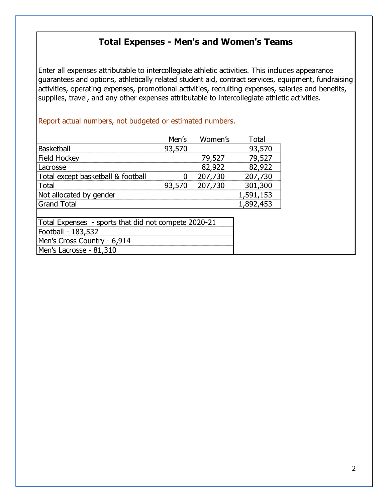# **Total Expenses - Men's and Women's Teams**

Enter all expenses attributable to intercollegiate athletic activities. This includes appearance guarantees and options, athletically related student aid, contract services, equipment, fundraising activities, operating expenses, promotional activities, recruiting expenses, salaries and benefits, supplies, travel, and any other expenses attributable to intercollegiate athletic activities.

## Report actual numbers, not budgeted or estimated numbers.

|                                    | Men's  | Women's | Total     |
|------------------------------------|--------|---------|-----------|
| <b>Basketball</b>                  | 93,570 |         | 93,570    |
| Field Hockey                       |        | 79,527  | 79.527    |
| Lacrosse                           |        | 82,922  | 82,922    |
| Total except basketball & football |        | 207,730 | 207,730   |
| Total                              | 93.570 | 207.730 | 301,300   |
| Not allocated by gender            |        |         | 1,591,153 |
| <b>Grand Total</b>                 |        |         | 1,892,453 |
|                                    |        |         |           |

| Total Expenses - sports that did not compete 2020-21 |
|------------------------------------------------------|
| Football - 183,532                                   |
| Men's Cross Country - 6,914                          |
| Men's Lacrosse - 81,310                              |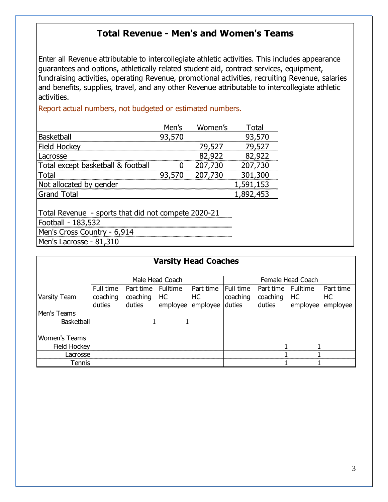# **Total Revenue - Men's and Women's Teams**

Enter all Revenue attributable to intercollegiate athletic activities. This includes appearance guarantees and options, athletically related student aid, contract services, equipment, fundraising activities, operating Revenue, promotional activities, recruiting Revenue, salaries and benefits, supplies, travel, and any other Revenue attributable to intercollegiate athletic activities.

Report actual numbers, not budgeted or estimated numbers.

|                                    | Men's  | Women's | l otal  |
|------------------------------------|--------|---------|---------|
| <b>Baskethall</b>                  | 93,570 |         |         |
| Field Hockey                       |        | 79.527  |         |
| _acrosse                           |        | 82.922  | 2.922   |
| Total except basketball & football |        | 207.730 | 207,730 |
| <u> Lutal</u>                      | 93.570 | 207.730 | 301,300 |
| Not allocated by gender            |        |         | -591    |
| <b>Grand Total</b>                 |        |         |         |
|                                    |        |         |         |

| Total Revenue - sports that did not compete 2020-21 |
|-----------------------------------------------------|
| Football - 183,532                                  |
| Men's Cross Country - 6,914                         |
| Men's Lacrosse - 81,310                             |

|                      |           |                    | <b>Varsity Head Coaches</b> |           |           |                    |                   |           |
|----------------------|-----------|--------------------|-----------------------------|-----------|-----------|--------------------|-------------------|-----------|
|                      |           |                    |                             |           |           |                    |                   |           |
|                      |           |                    |                             |           |           |                    |                   |           |
|                      |           |                    | Male Head Coach             |           |           |                    | Female Head Coach |           |
|                      | Full time | Part time Fulltime |                             | Part time | Full time | Part time Fulltime |                   | Part time |
| Varsity Team         | coaching  | coaching           | HC                          | НC        | coaching  | coaching           | HC                | HС        |
|                      | duties    | duties             | employee                    | employee  | duties    | duties             | employee          | employee  |
| Men's Teams          |           |                    |                             |           |           |                    |                   |           |
| <b>Basketball</b>    |           |                    |                             |           |           |                    |                   |           |
|                      |           |                    |                             |           |           |                    |                   |           |
| <b>Women's Teams</b> |           |                    |                             |           |           |                    |                   |           |
| Field Hockey         |           |                    |                             |           |           |                    |                   |           |
| Lacrosse             |           |                    |                             |           |           |                    |                   |           |
| Tennis               |           |                    |                             |           |           |                    |                   |           |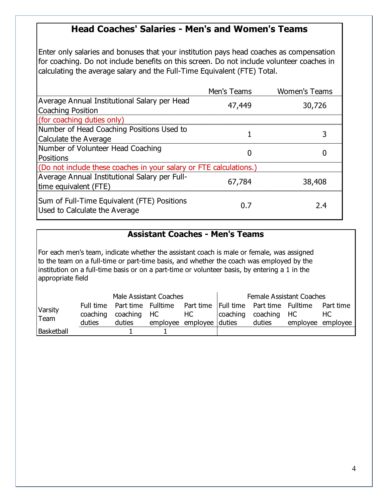# **Head Coaches' Salaries - Men's and Women's Teams**

Enter only salaries and bonuses that your institution pays head coaches as compensation for coaching. Do not include benefits on this screen. Do not include volunteer coaches in calculating the average salary and the Full-Time Equivalent (FTE) Total.

|                                                                              | Men's Teams | <b>Women's Teams</b> |
|------------------------------------------------------------------------------|-------------|----------------------|
| Average Annual Institutional Salary per Head<br>Coaching Position            | 47,449      | 30,726               |
| (for coaching duties only)                                                   |             |                      |
| Number of Head Coaching Positions Used to<br>Calculate the Average           |             |                      |
| Number of Volunteer Head Coaching<br>Positions                               |             |                      |
| (Do not include these coaches in your salary or FTE calculations.)           |             |                      |
| Average Annual Institutional Salary per Full-<br>time equivalent (FTE)       | 67,784      | 38,408               |
| Sum of Full-Time Equivalent (FTE) Positions<br>Used to Calculate the Average |             | 2.4                  |

# **Assistant Coaches - Men's Teams**

For each men's team, indicate whether the assistant coach is male or female, was assigned to the team on a full-time or part-time basis, and whether the coach was employed by the institution on a full-time basis or on a part-time or volunteer basis, by entering a 1 in the appropriate field

|                 | Male Assistant Coaches |                                                                                                         |  |                          | <b>Female Assistant Coaches</b> |                      |  |                   |
|-----------------|------------------------|---------------------------------------------------------------------------------------------------------|--|--------------------------|---------------------------------|----------------------|--|-------------------|
| Varsity<br>Team |                        | Full time Part time Fulltime Part time   Full time Part time Fulltime Part time<br>coaching coaching HC |  | HC                       |                                 | coaching coaching HC |  | HC.               |
|                 | duties                 | duties                                                                                                  |  | employee employee duties |                                 | duties               |  | employee employee |
| Basketball      |                        |                                                                                                         |  |                          |                                 |                      |  |                   |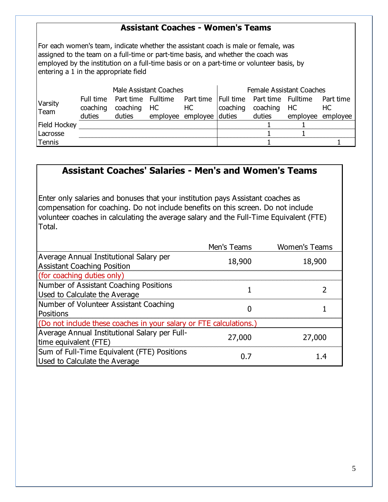# **Assistant Coaches - Women's Teams**

For each women's team, indicate whether the assistant coach is male or female, was assigned to the team on a full-time or part-time basis, and whether the coach was employed by the institution on a full-time basis or on a part-time or volunteer basis, by entering a 1 in the appropriate field

| Male Assistant Coaches |          |        |                | <b>Female Assistant Coaches</b>                                     |  |                      |                   |                 |
|------------------------|----------|--------|----------------|---------------------------------------------------------------------|--|----------------------|-------------------|-----------------|
| Varsity<br>Team        | coaching |        | coaching HC HC | Full time Part time Fulltime Part time Full time Part time Fulltime |  | coaching coaching HC |                   | Part time<br>HC |
|                        | duties   | duties |                | employee employee duties                                            |  | duties               | employee employee |                 |
| Field Hockey           |          |        |                |                                                                     |  |                      |                   |                 |
| Lacrosse               |          |        |                |                                                                     |  |                      |                   |                 |
| Tennis                 |          |        |                |                                                                     |  |                      |                   |                 |

# **Assistant Coaches' Salaries - Men's and Women's Teams**

Enter only salaries and bonuses that your institution pays Assistant coaches as compensation for coaching. Do not include benefits on this screen. Do not include volunteer coaches in calculating the average salary and the Full-Time Equivalent (FTE) Total.

|                                                                    | Men's Teams | <b>Women's Teams</b> |
|--------------------------------------------------------------------|-------------|----------------------|
| Average Annual Institutional Salary per                            | 18,900      | 18,900               |
| <b>Assistant Coaching Position</b>                                 |             |                      |
| (for coaching duties only)                                         |             |                      |
| Number of Assistant Coaching Positions                             |             |                      |
| Used to Calculate the Average                                      |             |                      |
| Number of Volunteer Assistant Coaching                             |             |                      |
| Positions                                                          |             |                      |
| (Do not include these coaches in your salary or FTE calculations.) |             |                      |
| Average Annual Institutional Salary per Full-                      |             |                      |
| time equivalent (FTE)                                              | 27,000      | 27,000               |
| Sum of Full-Time Equivalent (FTE) Positions                        |             | 1.4                  |
| Used to Calculate the Average                                      | 0. 7        |                      |